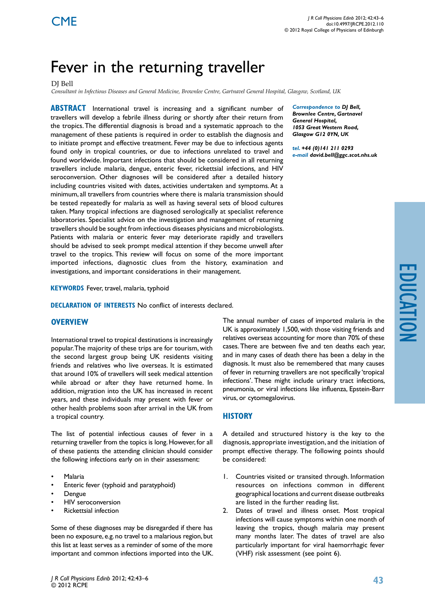*Correspondence to DJ Bell, Brownlee Centre, Gartnavel* 

*General Hospital, 1053 Great Western Road, Glasgow G12 0YN, UK tel. +44 (0)141 211 0293 e-mail david.bell@ggc.scot.nhs.uk* 

# Fever in the returning traveller

#### DI Bell

*Consultant in Infectious Diseases and General Medicine, Brownlee Centre, Gartnavel General Hospital, Glasgow, Scotland, UK* 

**ABSTRACT** International travel is increasing and a significant number of travellers will develop a febrile illness during or shortly after their return from the tropics. The differential diagnosis is broad and a systematic approach to the management of these patients is required in order to establish the diagnosis and to initiate prompt and effective treatment. Fever may be due to infectious agents found only in tropical countries, or due to infections unrelated to travel and found worldwide. Important infections that should be considered in all returning travellers include malaria, dengue, enteric fever, rickettsial infections, and HIV seroconversion. Other diagnoses will be considered after a detailed history including countries visited with dates, activities undertaken and symptoms. At a minimum, all travellers from countries where there is malaria transmission should be tested repeatedly for malaria as well as having several sets of blood cultures taken. Many tropical infections are diagnosed serologically at specialist reference laboratories. Specialist advice on the investigation and management of returning travellers should be sought from infectious diseases physicians and microbiologists. Patients with malaria or enteric fever may deteriorate rapidly and travellers should be advised to seek prompt medical attention if they become unwell after travel to the tropics. This review will focus on some of the more important imported infections, diagnostic clues from the history, examination and investigations, and important considerations in their management.

#### **KEYWORDS** Fever, travel, malaria, typhoid

**Declaration of Interests** No conflict of interests declared.

# **OVERVIEW**

International travel to tropical destinations is increasingly popular. The majority of these trips are for tourism, with the second largest group being UK residents visiting friends and relatives who live overseas. It is estimated that around 10% of travellers will seek medical attention while abroad or after they have returned home. In addition, migration into the UK has increased in recent years, and these individuals may present with fever or other health problems soon after arrival in the UK from a tropical country.

The list of potential infectious causes of fever in a returning traveller from the topics is long. However, for all of these patients the attending clinician should consider the following infections early on in their assessment:

- **Malaria**
- Enteric fever (typhoid and paratyphoid)
- **Dengue**
- **HIV** seroconversion
- **Rickettsial infection**

Some of these diagnoses may be disregarded if there has been no exposure, e.g. no travel to a malarious region, but this list at least serves as a reminder of some of the more important and common infections imported into the UK. The annual number of cases of imported malaria in the UK is approximately 1,500, with those visiting friends and relatives overseas accounting for more than 70% of these cases. There are between five and ten deaths each year, and in many cases of death there has been a delay in the diagnosis. It must also be remembered that many causes of fever in returning travellers are not specifically 'tropical infections'. These might include urinary tract infections, pneumonia, or viral infections like influenza, Epstein-Barr virus, or cytomegalovirus.

# **History**

A detailed and structured history is the key to the diagnosis, appropriate investigation, and the initiation of prompt effective therapy. The following points should be considered:

- 1. Countries visited or transited through. Information resources on infections common in different geographical locations and current disease outbreaks are listed in the further reading list.
- 2. Dates of travel and illness onset. Most tropical infections will cause symptoms within one month of leaving the tropics, though malaria may present many months later. The dates of travel are also particularly important for viral haemorrhagic fever (VHF) risk assessment (see point 6).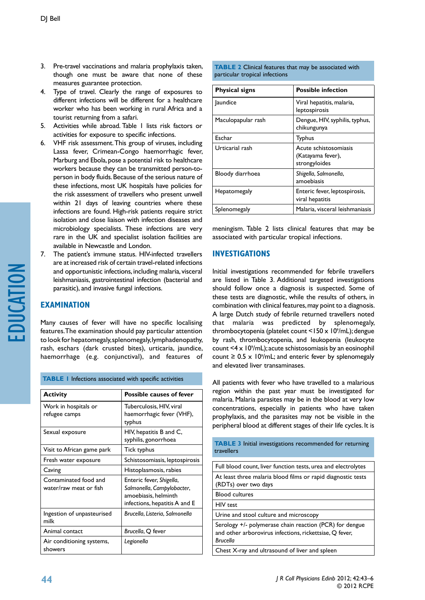- 3. Pre-travel vaccinations and malaria prophylaxis taken, though one must be aware that none of these measures guarantee protection.
- 4. Type of travel. Clearly the range of exposures to different infections will be different for a healthcare worker who has been working in rural Africa and a tourist returning from a safari.
- 5. Activities while abroad. Table 1 lists risk factors or activities for exposure to specific infections.
- 6. VHF risk assessment. This group of viruses, including Lassa fever, Crimean-Congo haemorrhagic fever, Marburg and Ebola, pose a potential risk to healthcare workers because they can be transmitted person-toperson in body fluids. Because of the serious nature of these infections, most UK hospitals have policies for the risk assessment of travellers who present unwell within 21 days of leaving countries where these infections are found. High-risk patients require strict isolation and close liaison with infection diseases and microbiology specialists. These infections are very rare in the UK and specialist isolation facilities are available in Newcastle and London.
- 7. The patient's immune status. HIV-infected travellers are at increased risk of certain travel-related infections and opportunistic infections, including malaria, visceral leishmaniasis, gastrointestinal infection (bacterial and parasitic), and invasive fungal infections.

# **Examination**

Many causes of fever will have no specific localising features. The examination should pay particular attention to look for hepatomegaly, splenomegaly, lymphadenopathy, rash, eschars (dark crusted bites), urticaria, jaundice, haemorrhage (e.g. conjunctival), and features of

| <b>Activity</b>                                 | <b>Possible causes of fever</b>                                                                                 |
|-------------------------------------------------|-----------------------------------------------------------------------------------------------------------------|
| Work in hospitals or<br>refugee camps           | Tuberculosis, HIV, viral<br>haemorrhagic fever (VHF),<br>typhus                                                 |
| Sexual exposure                                 | HIV, hepatitis B and C,<br>syphilis, gonorrhoea                                                                 |
| Visit to African game park                      | Tick typhus                                                                                                     |
| Fresh water exposure                            | Schistosomiasis, leptospirosis                                                                                  |
| Caving                                          | Histoplasmosis, rabies                                                                                          |
| Contaminated food and<br>water/raw meat or fish | Enteric fever, Shigella,<br>Salmonella, Campylobacter,<br>amoebiasis, helminth<br>infections, hepatitis A and E |
| Ingestion of unpasteurised<br>milk              | Brucella, Listeria, Salmonella                                                                                  |
| Animal contact                                  | Brucella, Q fever                                                                                               |
| Air conditioning systems,<br>showers            | Legionella                                                                                                      |

|  |  | <b>TABLE I</b> Infections associated with specific activities/ |  |  |
|--|--|----------------------------------------------------------------|--|--|
|--|--|----------------------------------------------------------------|--|--|

| <b>TABLE 2 Clinical features that may be associated with</b> |  |  |
|--------------------------------------------------------------|--|--|
| particular tropical infections                               |  |  |

| <b>Physical signs</b> | <b>Possible infection</b>                                   |
|-----------------------|-------------------------------------------------------------|
| <b>Jaundice</b>       | Viral hepatitis, malaria,<br>leptospirosis                  |
| Maculopapular rash    | Dengue, HIV, syphilis, typhus,<br>chikungunya               |
| Eschar                | <b>Typhus</b>                                               |
| Urticarial rash       | Acute schistosomiasis<br>(Katayama fever),<br>strongyloides |
| Bloody diarrhoea      | Shigella, Salmonella,<br>amoebiasis                         |
| Hepatomegaly          | Enteric fever, leptospirosis,<br>viral hepatitis            |
| Splenomegaly          | Malaria, visceral leishmaniasis                             |

meningism. Table 2 lists clinical features that may be associated with particular tropical infections.

# **Investigations**

Initial investigations recommended for febrile travellers are listed in Table 3. Additional targeted investigations should follow once a diagnosis is suspected. Some of these tests are diagnostic, while the results of others, in combination with clinical features, may point to a diagnosis. A large Dutch study of febrile returned travellers noted that malaria was predicted by splenomegaly, thrombocytopenia (platelet count <150 x 10<sup>9</sup>/mL); dengue by rash, thrombocytopenia, and leukopenia (leukocyte count  $\leq$   $4 \times 10^9$ /mL); acute schistosomiasis by an eosinophil count  $\geq 0.5 \times 10^9$ /mL; and enteric fever by splenomegaly and elevated liver transaminases.

All patients with fever who have travelled to a malarious region within the past year must be investigated for malaria. Malaria parasites may be in the blood at very low concentrations, especially in patients who have taken prophylaxis, and the parasites may not be visible in the peripheral blood at different stages of their life cycles. It is

**TABLE 3** Initial investigations recommended for returning

| travellers                                                                                                                     |
|--------------------------------------------------------------------------------------------------------------------------------|
| Full blood count, liver function tests, urea and electrolytes                                                                  |
| At least three malaria blood films or rapid diagnostic tests<br>(RDTs) over two days                                           |
| <b>Blood cultures</b>                                                                                                          |
| <b>HIV</b> test                                                                                                                |
| Urine and stool culture and microscopy                                                                                         |
| Serology +/- polymerase chain reaction (PCR) for dengue<br>and other arborovirus infections, rickettsiae, Q fever,<br>Brucella |
| Chest X-ray and ultrasound of liver and spleen                                                                                 |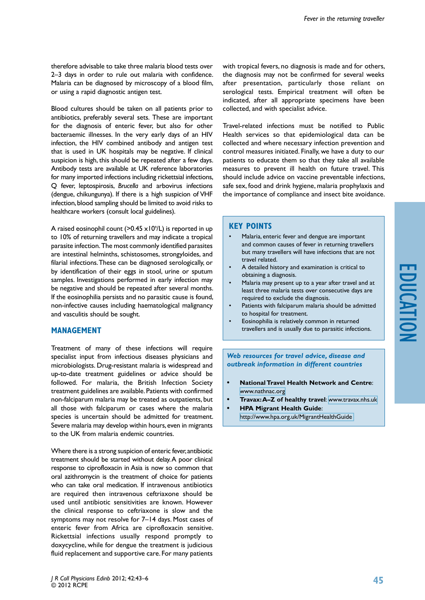therefore advisable to take three malaria blood tests over 2–3 days in order to rule out malaria with confidence. Malaria can be diagnosed by microscopy of a blood film, or using a rapid diagnostic antigen test.

Blood cultures should be taken on all patients prior to antibiotics, preferably several sets. These are important for the diagnosis of enteric fever, but also for other bacteraemic illnesses. In the very early days of an HIV infection, the HIV combined antibody and antigen test that is used in UK hospitals may be negative. If clinical suspicion is high, this should be repeated after a few days. Antibody tests are available at UK reference laboratories for many imported infections including rickettsial infections, Q fever, leptospirosis, *Brucella* and arbovirus infections (dengue, chikungunya). If there is a high suspicion of VHF infection, blood sampling should be limited to avoid risks to healthcare workers (consult local guidelines).

A raised eosinophil count (>0.45  $\times$ 10°/L) is reported in up to 10% of returning travellers and may indicate a tropical parasite infection. The most commonly identified parasites are intestinal helminths, schistosomes, strongyloides, and filarial infections. These can be diagnosed serologically, or by identification of their eggs in stool, urine or sputum samples. Investigations performed in early infection may be negative and should be repeated after several months. If the eosinophilia persists and no parasitic cause is found, non-infective causes including haematological malignancy and vasculitis should be sought.

# **Management**

Treatment of many of these infections will require specialist input from infectious diseases physicians and microbiologists. Drug-resistant malaria is widespread and up-to-date treatment guidelines or advice should be followed. For malaria, the British Infection Society treatment guidelines are available. Patients with confirmed non-falciparum malaria may be treated as outpatients, but all those with falciparum or cases where the malaria species is uncertain should be admitted for treatment. Severe malaria may develop within hours, even in migrants to the UK from malaria endemic countries.

Where there is a strong suspicion of enteric fever, antibiotic treatment should be started without delay. A poor clinical response to ciprofloxacin in Asia is now so common that oral azithromycin is the treatment of choice for patients who can take oral medication. If intravenous antibiotics are required then intravenous ceftriaxone should be used until antibiotic sensitivities are known. However the clinical response to ceftriaxone is slow and the symptoms may not resolve for 7–14 days. Most cases of enteric fever from Africa are ciprofloxacin sensitive. Rickettsial infections usually respond promptly to doxycycline, while for dengue the treatment is judicious fluid replacement and supportive care. For many patients

with tropical fevers, no diagnosis is made and for others, the diagnosis may not be confirmed for several weeks after presentation, particularly those reliant on serological tests. Empirical treatment will often be indicated, after all appropriate specimens have been collected, and with specialist advice.

Travel-related infections must be notified to Public Health services so that epidemiological data can be collected and where necessary infection prevention and control measures initiated. Finally, we have a duty to our patients to educate them so that they take all available measures to prevent ill health on future travel. This should include advice on vaccine preventable infections, safe sex, food and drink hygiene, malaria prophylaxis and the importance of compliance and insect bite avoidance.

# **Key points**

- Malaria, enteric fever and dengue are important and common causes of fever in returning travellers but many travellers will have infections that are not travel related.
- A detailed history and examination is critical to obtaining a diagnosis.
- Malaria may present up to a year after travel and at least three malaria tests over consecutive days are required to exclude the diagnosis.
- Patients with falciparum malaria should be admitted to hospital for treatment.
- Eosinophilia is relatively common in returned travellers and is usually due to parasitic infections.

*Web resources for travel advice, disease and outbreak information in different countries*

- **National Travel Health Network and Centre:** [www.nathnac.org](www.nathnac.org
)
- **Travax: A-Z of healthy travel: <www.travax.nhs.uk> HPA Migrant Health Guide:**

[http://www.hpa.org.uk/MigrantHealthGuide](http://www.hpa.org.uk/MigrantHealthGuide
)